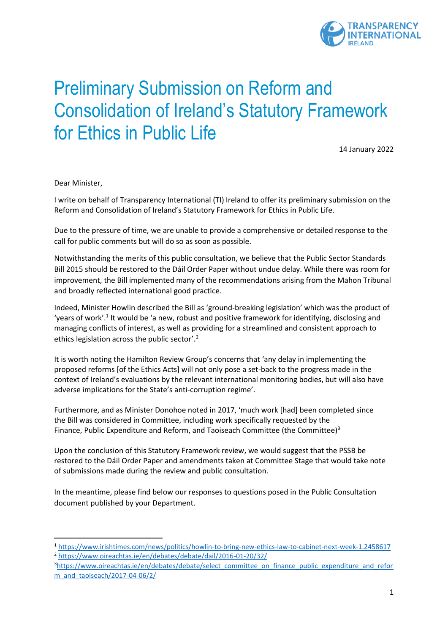

# Preliminary Submission on Reform and Consolidation of Ireland's Statutory Framework for Ethics in Public Life

14 January 2022

Dear Minister,

I write on behalf of Transparency International (TI) Ireland to offer its preliminary submission on the Reform and Consolidation of Ireland's Statutory Framework for Ethics in Public Life.

Due to the pressure of time, we are unable to provide a comprehensive or detailed response to the call for public comments but will do so as soon as possible.

Notwithstanding the merits of this public consultation, we believe that the Public Sector Standards Bill 2015 should be restored to the Dáil Order Paper without undue delay. While there was room for improvement, the Bill implemented many of the recommendations arising from the Mahon Tribunal and broadly reflected international good practice.

Indeed, Minister Howlin described the Bill as 'ground-breaking legislation' which was the product of 'years of work'.<sup>1</sup> It would be 'a new, robust and positive framework for identifying, disclosing and managing conflicts of interest, as well as providing for a streamlined and consistent approach to ethics legislation across the public sector'.<sup>2</sup>

It is worth noting the Hamilton Review Group's concerns that 'any delay in implementing the proposed reforms [of the Ethics Acts] will not only pose a set-back to the progress made in the context of Ireland's evaluations by the relevant international monitoring bodies, but will also have adverse implications for the State's anti-corruption regime'.

Furthermore, and as Minister Donohoe noted in 2017, 'much work [had] been completed since the Bill was considered in Committee, including work specifically requested by the Finance, Public Expenditure and Reform, and Taoiseach Committee (the Committee) $3$ 

Upon the conclusion of this Statutory Framework review, we would suggest that the PSSB be restored to the Dáil Order Paper and amendments taken at Committee Stage that would take note of submissions made during the review and public consultation.

In the meantime, please find below our responses to questions posed in the Public Consultation document published by your Department.

<sup>1</sup> <https://www.irishtimes.com/news/politics/howlin-to-bring-new-ethics-law-to-cabinet-next-week-1.2458617> <sup>2</sup> <https://www.oireachtas.ie/en/debates/debate/dail/2016-01-20/32/>

<sup>&</sup>lt;sup>3</sup>[https://www.oireachtas.ie/en/debates/debate/select\\_committee\\_on\\_finance\\_public\\_expenditure\\_and\\_refor](https://www.oireachtas.ie/en/debates/debate/select_committee_on_finance_public_expenditure_and_reform_and_taoiseach/2017-04-06/2/) [m\\_and\\_taoiseach/2017-04-06/2/](https://www.oireachtas.ie/en/debates/debate/select_committee_on_finance_public_expenditure_and_reform_and_taoiseach/2017-04-06/2/)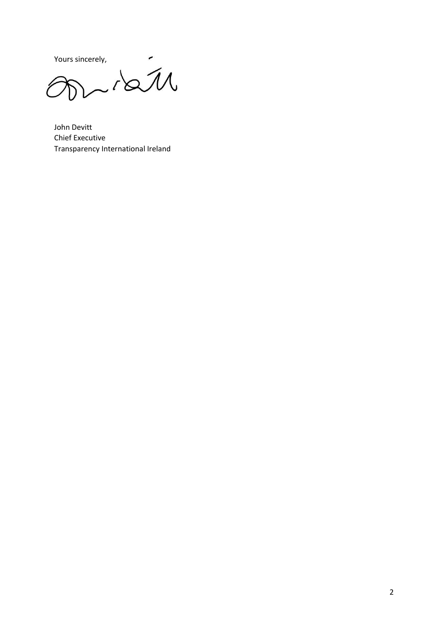Yours sincerely,<br>  $\widehat{\mathcal{M}}$ 

John Devitt Chief Executive Transparency International Ireland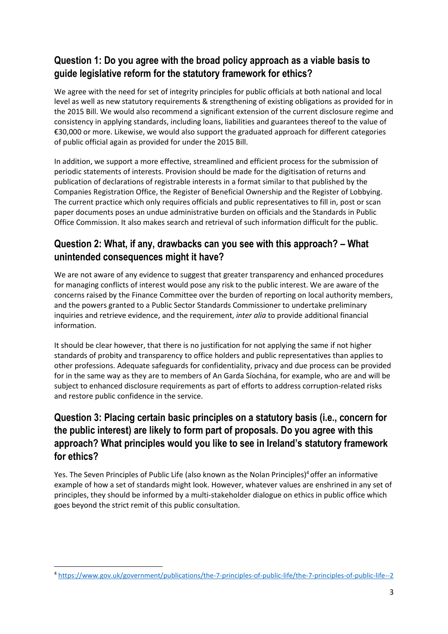### **Question 1: Do you agree with the broad policy approach as a viable basis to guide legislative reform for the statutory framework for ethics?**

We agree with the need for set of integrity principles for public officials at both national and local level as well as new statutory requirements & strengthening of existing obligations as provided for in the 2015 Bill. We would also recommend a significant extension of the current disclosure regime and consistency in applying standards, including loans, liabilities and guarantees thereof to the value of €30,000 or more. Likewise, we would also support the graduated approach for different categories of public official again as provided for under the 2015 Bill.

In addition, we support a more effective, streamlined and efficient process for the submission of periodic statements of interests. Provision should be made for the digitisation of returns and publication of declarations of registrable interests in a format similar to that published by the Companies Registration Office, the Register of Beneficial Ownership and the Register of Lobbying. The current practice which only requires officials and public representatives to fill in, post or scan paper documents poses an undue administrative burden on officials and the Standards in Public Office Commission. It also makes search and retrieval of such information difficult for the public.

#### **Question 2: What, if any, drawbacks can you see with this approach? – What unintended consequences might it have?**

We are not aware of any evidence to suggest that greater transparency and enhanced procedures for managing conflicts of interest would pose any risk to the public interest. We are aware of the concerns raised by the Finance Committee over the burden of reporting on local authority members, and the powers granted to a Public Sector Standards Commissioner to undertake preliminary inquiries and retrieve evidence, and the requirement, *inter alia* to provide additional financial information.

It should be clear however, that there is no justification for not applying the same if not higher standards of probity and transparency to office holders and public representatives than applies to other professions. Adequate safeguards for confidentiality, privacy and due process can be provided for in the same way as they are to members of An Garda Síochána, for example, who are and will be subject to enhanced disclosure requirements as part of efforts to address corruption-related risks and restore public confidence in the service.

#### **Question 3: Placing certain basic principles on a statutory basis (i.e., concern for the public interest) are likely to form part of proposals. Do you agree with this approach? What principles would you like to see in Ireland's statutory framework for ethics?**

Yes. The Seven Principles of Public Life (also known as the Nolan Principles)<sup>4</sup> offer an informative example of how a set of standards might look. However, whatever values are enshrined in any set of principles, they should be informed by a multi-stakeholder dialogue on ethics in public office which goes beyond the strict remit of this public consultation.

<sup>4</sup> <https://www.gov.uk/government/publications/the-7-principles-of-public-life/the-7-principles-of-public-life--2>